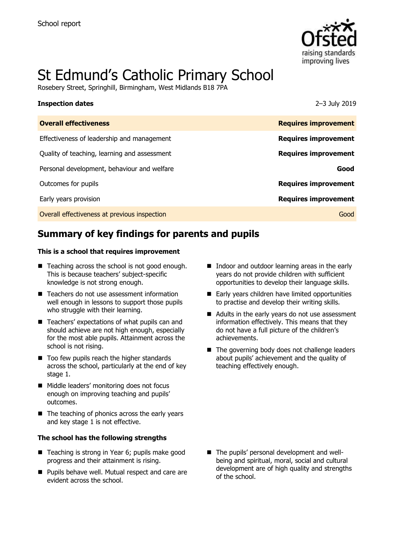

# St Edmund's Catholic Primary School

Rosebery Street, Springhill, Birmingham, West Midlands B18 7PA

### **Inspection dates** 2–3 July 2019

| <b>Overall effectiveness</b>                 | <b>Requires improvement</b> |
|----------------------------------------------|-----------------------------|
| Effectiveness of leadership and management   | <b>Requires improvement</b> |
| Quality of teaching, learning and assessment | <b>Requires improvement</b> |
| Personal development, behaviour and welfare  | Good                        |
| Outcomes for pupils                          | <b>Requires improvement</b> |
| Early years provision                        | <b>Requires improvement</b> |
| Overall effectiveness at previous inspection | Good                        |

# **Summary of key findings for parents and pupils**

### **This is a school that requires improvement**

- Teaching across the school is not good enough. This is because teachers' subject-specific knowledge is not strong enough.
- Teachers do not use assessment information well enough in lessons to support those pupils who struggle with their learning.
- Teachers' expectations of what pupils can and should achieve are not high enough, especially for the most able pupils. Attainment across the school is not rising.
- Too few pupils reach the higher standards across the school, particularly at the end of key stage 1.
- Middle leaders' monitoring does not focus enough on improving teaching and pupils' outcomes.
- $\blacksquare$  The teaching of phonics across the early years and key stage 1 is not effective.

### **The school has the following strengths**

- Teaching is strong in Year 6; pupils make good progress and their attainment is rising.
- **Pupils behave well. Mutual respect and care are** evident across the school.
- Indoor and outdoor learning areas in the early years do not provide children with sufficient opportunities to develop their language skills.
- Early years children have limited opportunities to practise and develop their writing skills.
- Adults in the early years do not use assessment information effectively. This means that they do not have a full picture of the children's achievements.
- $\blacksquare$  The governing body does not challenge leaders about pupils' achievement and the quality of teaching effectively enough.

■ The pupils' personal development and wellbeing and spiritual, moral, social and cultural development are of high quality and strengths of the school.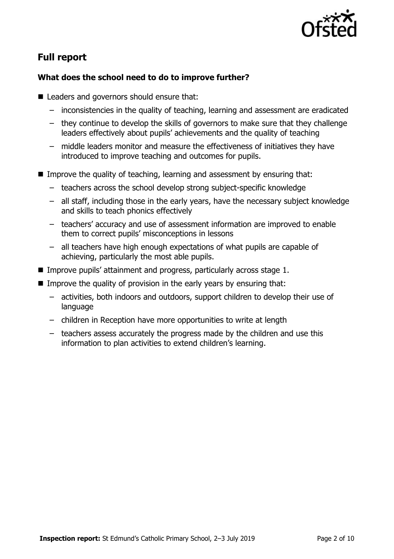

# **Full report**

### **What does the school need to do to improve further?**

- Leaders and governors should ensure that:
	- inconsistencies in the quality of teaching, learning and assessment are eradicated
	- they continue to develop the skills of governors to make sure that they challenge leaders effectively about pupils' achievements and the quality of teaching
	- middle leaders monitor and measure the effectiveness of initiatives they have introduced to improve teaching and outcomes for pupils.
- **IMPROVE THE QUALITY OF TEACHT AND MAKE STATE IN A THE IMAGE IS SET OF THAT I** Improve that:
	- teachers across the school develop strong subject-specific knowledge
	- all staff, including those in the early years, have the necessary subject knowledge and skills to teach phonics effectively
	- teachers' accuracy and use of assessment information are improved to enable them to correct pupils' misconceptions in lessons
	- all teachers have high enough expectations of what pupils are capable of achieving, particularly the most able pupils.
- Improve pupils' attainment and progress, particularly across stage 1.
- Improve the quality of provision in the early years by ensuring that:
	- activities, both indoors and outdoors, support children to develop their use of language
	- children in Reception have more opportunities to write at length
	- teachers assess accurately the progress made by the children and use this information to plan activities to extend children's learning.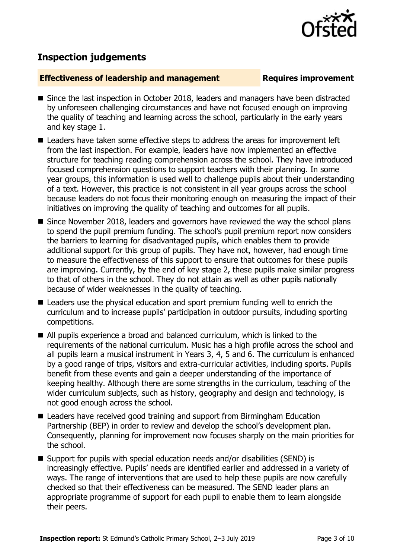

## **Inspection judgements**

### **Effectiveness of leadership and management Requires improvement**

- Since the last inspection in October 2018, leaders and managers have been distracted by unforeseen challenging circumstances and have not focused enough on improving the quality of teaching and learning across the school, particularly in the early years and key stage 1.
- Leaders have taken some effective steps to address the areas for improvement left from the last inspection. For example, leaders have now implemented an effective structure for teaching reading comprehension across the school. They have introduced focused comprehension questions to support teachers with their planning. In some year groups, this information is used well to challenge pupils about their understanding of a text. However, this practice is not consistent in all year groups across the school because leaders do not focus their monitoring enough on measuring the impact of their initiatives on improving the quality of teaching and outcomes for all pupils.
- Since November 2018, leaders and governors have reviewed the way the school plans to spend the pupil premium funding. The school's pupil premium report now considers the barriers to learning for disadvantaged pupils, which enables them to provide additional support for this group of pupils. They have not, however, had enough time to measure the effectiveness of this support to ensure that outcomes for these pupils are improving. Currently, by the end of key stage 2, these pupils make similar progress to that of others in the school. They do not attain as well as other pupils nationally because of wider weaknesses in the quality of teaching.
- Leaders use the physical education and sport premium funding well to enrich the curriculum and to increase pupils' participation in outdoor pursuits, including sporting competitions.
- All pupils experience a broad and balanced curriculum, which is linked to the requirements of the national curriculum. Music has a high profile across the school and all pupils learn a musical instrument in Years 3, 4, 5 and 6. The curriculum is enhanced by a good range of trips, visitors and extra-curricular activities, including sports. Pupils benefit from these events and gain a deeper understanding of the importance of keeping healthy. Although there are some strengths in the curriculum, teaching of the wider curriculum subjects, such as history, geography and design and technology, is not good enough across the school.
- Leaders have received good training and support from Birmingham Education Partnership (BEP) in order to review and develop the school's development plan. Consequently, planning for improvement now focuses sharply on the main priorities for the school.
- Support for pupils with special education needs and/or disabilities (SEND) is increasingly effective. Pupils' needs are identified earlier and addressed in a variety of ways. The range of interventions that are used to help these pupils are now carefully checked so that their effectiveness can be measured. The SEND leader plans an appropriate programme of support for each pupil to enable them to learn alongside their peers.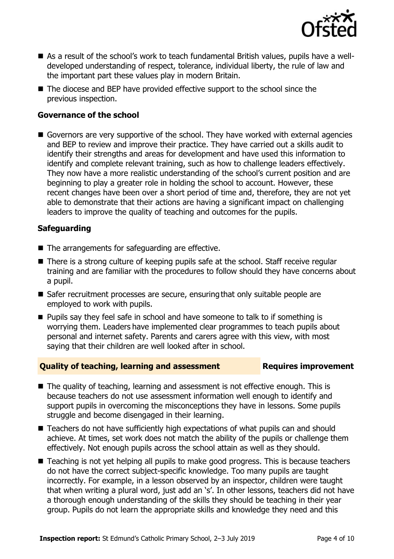

- As a result of the school's work to teach fundamental British values, pupils have a welldeveloped understanding of respect, tolerance, individual liberty, the rule of law and the important part these values play in modern Britain.
- The diocese and BEP have provided effective support to the school since the previous inspection.

### **Governance of the school**

Governors are very supportive of the school. They have worked with external agencies and BEP to review and improve their practice. They have carried out a skills audit to identify their strengths and areas for development and have used this information to identify and complete relevant training, such as how to challenge leaders effectively. They now have a more realistic understanding of the school's current position and are beginning to play a greater role in holding the school to account. However, these recent changes have been over a short period of time and, therefore, they are not yet able to demonstrate that their actions are having a significant impact on challenging leaders to improve the quality of teaching and outcomes for the pupils.

### **Safeguarding**

- The arrangements for safeguarding are effective.
- There is a strong culture of keeping pupils safe at the school. Staff receive regular training and are familiar with the procedures to follow should they have concerns about a pupil.
- Safer recruitment processes are secure, ensuring that only suitable people are employed to work with pupils.
- **Pupils say they feel safe in school and have someone to talk to if something is** worrying them. Leaders have implemented clear programmes to teach pupils about personal and internet safety. Parents and carers agree with this view, with most saying that their children are well looked after in school.

### **Quality of teaching, learning and assessment Requires improvement**

- The quality of teaching, learning and assessment is not effective enough. This is because teachers do not use assessment information well enough to identify and support pupils in overcoming the misconceptions they have in lessons. Some pupils struggle and become disengaged in their learning.
- Teachers do not have sufficiently high expectations of what pupils can and should achieve. At times, set work does not match the ability of the pupils or challenge them effectively. Not enough pupils across the school attain as well as they should.
- Teaching is not yet helping all pupils to make good progress. This is because teachers do not have the correct subject-specific knowledge. Too many pupils are taught incorrectly. For example, in a lesson observed by an inspector, children were taught that when writing a plural word, just add an 's'. In other lessons, teachers did not have a thorough enough understanding of the skills they should be teaching in their year group. Pupils do not learn the appropriate skills and knowledge they need and this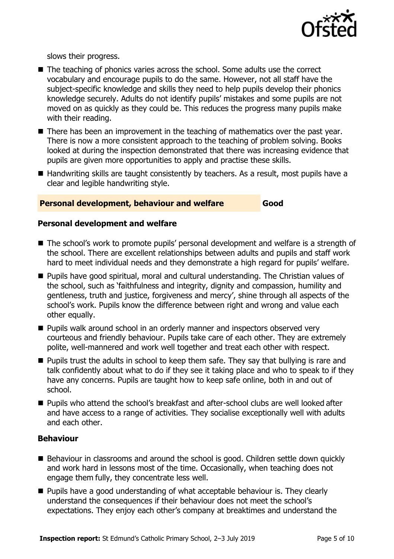

slows their progress.

- The teaching of phonics varies across the school. Some adults use the correct vocabulary and encourage pupils to do the same. However, not all staff have the subject-specific knowledge and skills they need to help pupils develop their phonics knowledge securely. Adults do not identify pupils' mistakes and some pupils are not moved on as quickly as they could be. This reduces the progress many pupils make with their reading.
- There has been an improvement in the teaching of mathematics over the past year. There is now a more consistent approach to the teaching of problem solving. Books looked at during the inspection demonstrated that there was increasing evidence that pupils are given more opportunities to apply and practise these skills.
- Handwriting skills are taught consistently by teachers. As a result, most pupils have a clear and legible handwriting style.

### **Personal development, behaviour and welfare Good**

### **Personal development and welfare**

- The school's work to promote pupils' personal development and welfare is a strength of the school. There are excellent relationships between adults and pupils and staff work hard to meet individual needs and they demonstrate a high regard for pupils' welfare.
- Pupils have good spiritual, moral and cultural understanding. The Christian values of the school, such as 'faithfulness and integrity, dignity and compassion, humility and gentleness, truth and justice, forgiveness and mercy', shine through all aspects of the school's work. Pupils know the difference between right and wrong and value each other equally.
- **Pupils walk around school in an orderly manner and inspectors observed very** courteous and friendly behaviour. Pupils take care of each other. They are extremely polite, well-mannered and work well together and treat each other with respect.
- **Pupils trust the adults in school to keep them safe. They say that bullying is rare and** talk confidently about what to do if they see it taking place and who to speak to if they have any concerns. Pupils are taught how to keep safe online, both in and out of school.
- Pupils who attend the school's breakfast and after-school clubs are well looked after and have access to a range of activities. They socialise exceptionally well with adults and each other.

### **Behaviour**

- Behaviour in classrooms and around the school is good. Children settle down quickly and work hard in lessons most of the time. Occasionally, when teaching does not engage them fully, they concentrate less well.
- **Pupils have a good understanding of what acceptable behaviour is. They clearly** understand the consequences if their behaviour does not meet the school's expectations. They enjoy each other's company at breaktimes and understand the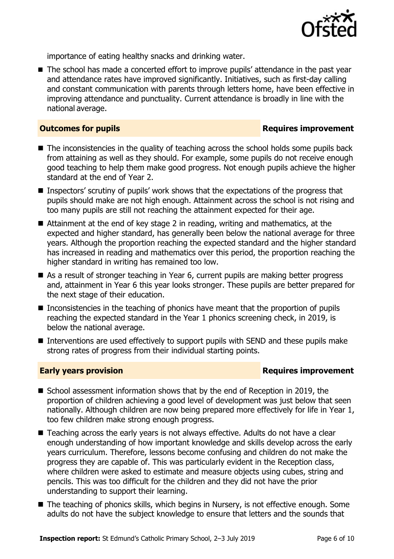

importance of eating healthy snacks and drinking water.

■ The school has made a concerted effort to improve pupils' attendance in the past year and attendance rates have improved significantly. Initiatives, such as first-day calling and constant communication with parents through letters home, have been effective in improving attendance and punctuality. Current attendance is broadly in line with the national average.

### **Outcomes for pupils Requires improvement**

- The inconsistencies in the quality of teaching across the school holds some pupils back from attaining as well as they should. For example, some pupils do not receive enough good teaching to help them make good progress. Not enough pupils achieve the higher standard at the end of Year 2.
- Inspectors' scrutiny of pupils' work shows that the expectations of the progress that pupils should make are not high enough. Attainment across the school is not rising and too many pupils are still not reaching the attainment expected for their age.
- Attainment at the end of key stage 2 in reading, writing and mathematics, at the expected and higher standard, has generally been below the national average for three years. Although the proportion reaching the expected standard and the higher standard has increased in reading and mathematics over this period, the proportion reaching the higher standard in writing has remained too low.
- As a result of stronger teaching in Year 6, current pupils are making better progress and, attainment in Year 6 this year looks stronger. These pupils are better prepared for the next stage of their education.
- Inconsistencies in the teaching of phonics have meant that the proportion of pupils reaching the expected standard in the Year 1 phonics screening check, in 2019, is below the national average.
- Interventions are used effectively to support pupils with SEND and these pupils make strong rates of progress from their individual starting points.

### **Early years provision**

- School assessment information shows that by the end of Reception in 2019, the proportion of children achieving a good level of development was just below that seen nationally. Although children are now being prepared more effectively for life in Year 1, too few children make strong enough progress.
- Teaching across the early years is not always effective. Adults do not have a clear enough understanding of how important knowledge and skills develop across the early years curriculum. Therefore, lessons become confusing and children do not make the progress they are capable of. This was particularly evident in the Reception class, where children were asked to estimate and measure objects using cubes, string and pencils. This was too difficult for the children and they did not have the prior understanding to support their learning.
- The teaching of phonics skills, which begins in Nursery, is not effective enough. Some adults do not have the subject knowledge to ensure that letters and the sounds that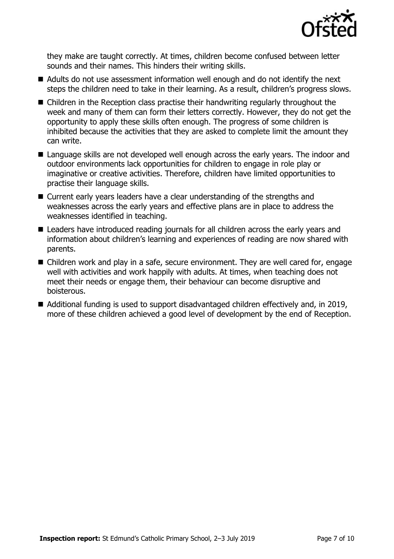

they make are taught correctly. At times, children become confused between letter sounds and their names. This hinders their writing skills.

- Adults do not use assessment information well enough and do not identify the next steps the children need to take in their learning. As a result, children's progress slows.
- Children in the Reception class practise their handwriting regularly throughout the week and many of them can form their letters correctly. However, they do not get the opportunity to apply these skills often enough. The progress of some children is inhibited because the activities that they are asked to complete limit the amount they can write.
- Language skills are not developed well enough across the early years. The indoor and outdoor environments lack opportunities for children to engage in role play or imaginative or creative activities. Therefore, children have limited opportunities to practise their language skills.
- Current early years leaders have a clear understanding of the strengths and weaknesses across the early years and effective plans are in place to address the weaknesses identified in teaching.
- Leaders have introduced reading journals for all children across the early years and information about children's learning and experiences of reading are now shared with parents.
- Children work and play in a safe, secure environment. They are well cared for, engage well with activities and work happily with adults. At times, when teaching does not meet their needs or engage them, their behaviour can become disruptive and boisterous.
- Additional funding is used to support disadvantaged children effectively and, in 2019, more of these children achieved a good level of development by the end of Reception.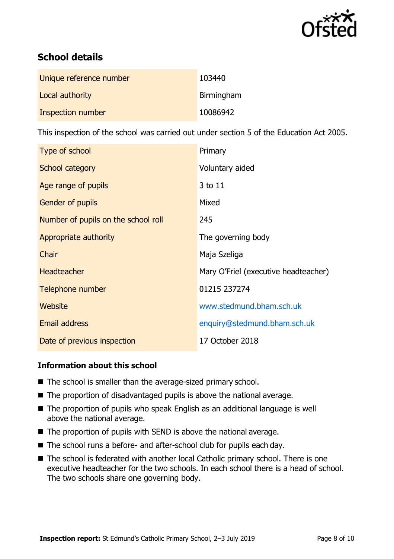

# **School details**

| Unique reference number | 103440     |
|-------------------------|------------|
| Local authority         | Birmingham |
| Inspection number       | 10086942   |

This inspection of the school was carried out under section 5 of the Education Act 2005.

| Type of school                      | Primary                              |
|-------------------------------------|--------------------------------------|
| School category                     | Voluntary aided                      |
| Age range of pupils                 | 3 to 11                              |
| <b>Gender of pupils</b>             | Mixed                                |
| Number of pupils on the school roll | 245                                  |
| Appropriate authority               | The governing body                   |
| Chair                               | Maja Szeliga                         |
| <b>Headteacher</b>                  | Mary O'Friel (executive headteacher) |
| Telephone number                    | 01215 237274                         |
| Website                             | www.stedmund.bham.sch.uk             |
| <b>Email address</b>                | enquiry@stedmund.bham.sch.uk         |
| Date of previous inspection         | 17 October 2018                      |

### **Information about this school**

- The school is smaller than the average-sized primary school.
- The proportion of disadvantaged pupils is above the national average.
- The proportion of pupils who speak English as an additional language is well above the national average.
- The proportion of pupils with SEND is above the national average.
- The school runs a before- and after-school club for pupils each day.
- The school is federated with another local Catholic primary school. There is one executive headteacher for the two schools. In each school there is a head of school. The two schools share one governing body.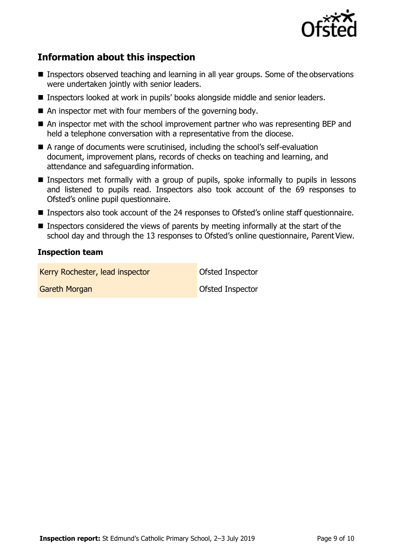

# **Information about this inspection**

- Inspectors observed teaching and learning in all year groups. Some of the observations were undertaken jointly with senior leaders.
- Inspectors looked at work in pupils' books alongside middle and senior leaders.
- An inspector met with four members of the governing body.
- An inspector met with the school improvement partner who was representing BEP and held a telephone conversation with a representative from the diocese.
- A range of documents were scrutinised, including the school's self-evaluation document, improvement plans, records of checks on teaching and learning, and attendance and safeguarding information.
- **Inspectors met formally with a group of pupils, spoke informally to pupils in lessons** and listened to pupils read. Inspectors also took account of the 69 responses to Ofsted's online pupil questionnaire.
- Inspectors also took account of the 24 responses to Ofsted's online staff questionnaire.
- **Inspectors considered the views of parents by meeting informally at the start of the** school day and through the 13 responses to Ofsted's online questionnaire, Parent View.

### **Inspection team**

Kerry Rochester, lead inspector **Canadia** Ofsted Inspector

**Gareth Morgan Community Construction Construction Construction Construction Construction Construction Construction**